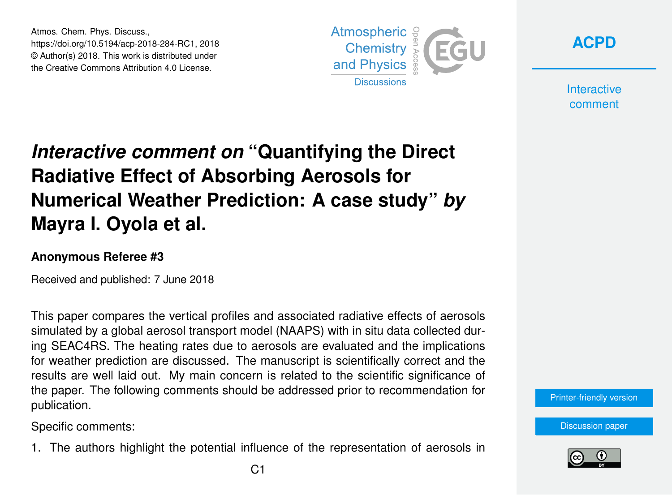Atmos. Chem. Phys. Discuss., https://doi.org/10.5194/acp-2018-284-RC1, 2018 © Author(s) 2018. This work is distributed under the Creative Commons Attribution 4.0 License.





**Interactive** comment

## *Interactive comment on* **"Quantifying the Direct Radiative Effect of Absorbing Aerosols for Numerical Weather Prediction: A case study"** *by* **Mayra I. Oyola et al.**

## **Anonymous Referee #3**

Received and published: 7 June 2018

This paper compares the vertical profiles and associated radiative effects of aerosols simulated by a global aerosol transport model (NAAPS) with in situ data collected during SEAC4RS. The heating rates due to aerosols are evaluated and the implications for weather prediction are discussed. The manuscript is scientifically correct and the results are well laid out. My main concern is related to the scientific significance of the paper. The following comments should be addressed prior to recommendation for publication.

Specific comments:

1. The authors highlight the potential influence of the representation of aerosols in

[Printer-friendly version](https://www.atmos-chem-phys-discuss.net/acp-2018-284/acp-2018-284-RC1-print.pdf)

[Discussion paper](https://www.atmos-chem-phys-discuss.net/acp-2018-284)